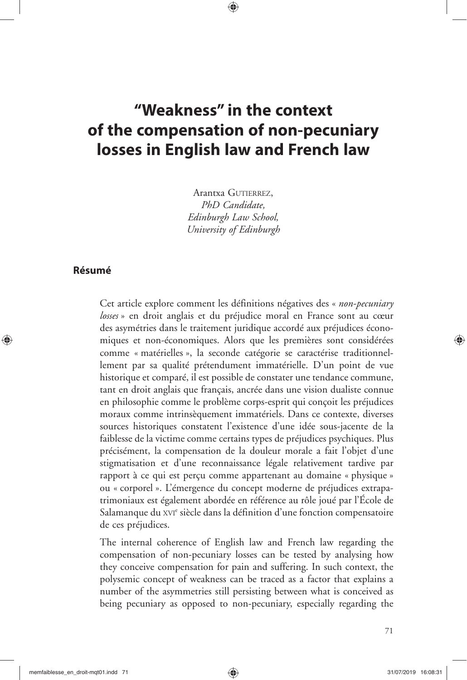# **"Weakness" in the context of the compensation of non-pecuniary losses in English law and French law**

⊕

Arantxa GUTIERREZ, *PhD Candidate, Edinburgh Law School, University of Edinburgh*

#### **Résumé**

◈

Cet article explore comment les définitions négatives des « *non-pecuniary losses* » en droit anglais et du préjudice moral en France sont au cœur des asymétries dans le traitement juridique accordé aux préjudices économiques et non-économiques. Alors que les premières sont considérées comme « matérielles », la seconde catégorie se caractérise traditionnellement par sa qualité prétendument immatérielle. D'un point de vue historique et comparé, il est possible de constater une tendance commune, tant en droit anglais que français, ancrée dans une vision dualiste connue en philosophie comme le problème corps-esprit qui conçoit les préjudices moraux comme intrinsèquement immatériels. Dans ce contexte, diverses sources historiques constatent l'existence d'une idée sous-jacente de la faiblesse de la victime comme certains types de préjudices psychiques. Plus précisément, la compensation de la douleur morale a fait l'objet d'une stigmatisation et d'une reconnaissance légale relativement tardive par rapport à ce qui est perçu comme appartenant au domaine « physique » ou « corporel ». L'émergence du concept moderne de préjudices extrapatrimoniaux est également abordée en référence au rôle joué par l'École de Salamanque du xv1<sup>e</sup> siècle dans la définition d'une fonction compensatoire de ces préjudices.

The internal coherence of English law and French law regarding the compensation of non-pecuniary losses can be tested by analysing how they conceive compensation for pain and suffering. In such context, the polysemic concept of weakness can be traced as a factor that explains a number of the asymmetries still persisting between what is conceived as being pecuniary as opposed to non-pecuniary, especially regarding the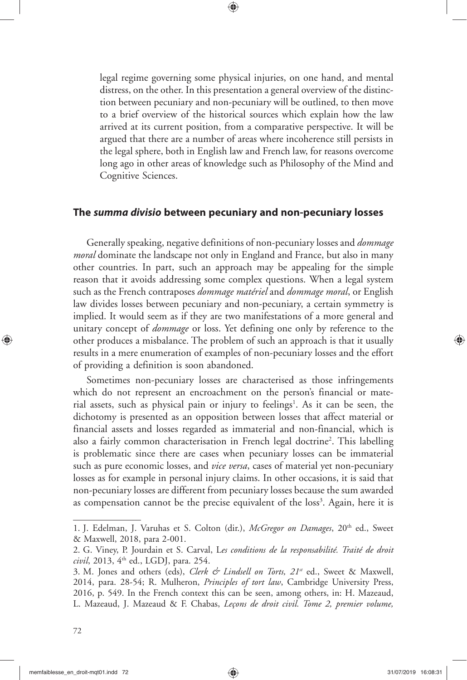legal regime governing some physical injuries, on one hand, and mental distress, on the other. In this presentation a general overview of the distinction between pecuniary and non-pecuniary will be outlined, to then move to a brief overview of the historical sources which explain how the law arrived at its current position, from a comparative perspective. It will be argued that there are a number of areas where incoherence still persists in the legal sphere, both in English law and French law, for reasons overcome long ago in other areas of knowledge such as Philosophy of the Mind and Cognitive Sciences.

⊕

#### **The summa divisio between pecuniary and non-pecuniary losses**

Generally speaking, negative definitions of non-pecuniary losses and *dommage moral* dominate the landscape not only in England and France, but also in many other countries. In part, such an approach may be appealing for the simple reason that it avoids addressing some complex questions. When a legal system such as the French contraposes *dommage matériel* and *dommage moral*, or English law divides losses between pecuniary and non-pecuniary, a certain symmetry is implied. It would seem as if they are two manifestations of a more general and unitary concept of *dommage* or loss. Yet defining one only by reference to the other produces a misbalance. The problem of such an approach is that it usually results in a mere enumeration of examples of non-pecuniary losses and the effort of providing a definition is soon abandoned.

Sometimes non-pecuniary losses are characterised as those infringements which do not represent an encroachment on the person's financial or material assets, such as physical pain or injury to feelings<sup>1</sup>. As it can be seen, the dichotomy is presented as an opposition between losses that affect material or financial assets and losses regarded as immaterial and non-financial, which is also a fairly common characterisation in French legal doctrine<sup>2</sup>. This labelling is problematic since there are cases when pecuniary losses can be immaterial such as pure economic losses, and *vice versa*, cases of material yet non-pecuniary losses as for example in personal injury claims. In other occasions, it is said that non-pecuniary losses are different from pecuniary losses because the sum awarded as compensation cannot be the precise equivalent of the loss<sup>3</sup>. Again, here it is

◈

<sup>1.</sup> J. Edelman, J. Varuhas et S. Colton (dir.), *McGregor on Damages*, 20<sup>th</sup> ed., Sweet & Maxwell, 2018, para 2-001.

<sup>2.</sup> G. Viney, P. Jourdain et S. Carval, L*es conditions de la responsabilité. Traité de droit civil*, 2013, 4<sup>th</sup> ed., LGDJ, para. 254.

<sup>3.</sup> M. Jones and others (eds), *Clerk & Lindsell on Torts, 21st* ed., Sweet & Maxwell, 2014, para. 28-54; R. Mulheron, *Principles of tort law*, Cambridge University Press, 2016, p. 549. In the French context this can be seen, among others, in: H. Mazeaud, L. Mazeaud, J. Mazeaud & F. Chabas, *Leçons de droit civil. Tome 2, premier volume,*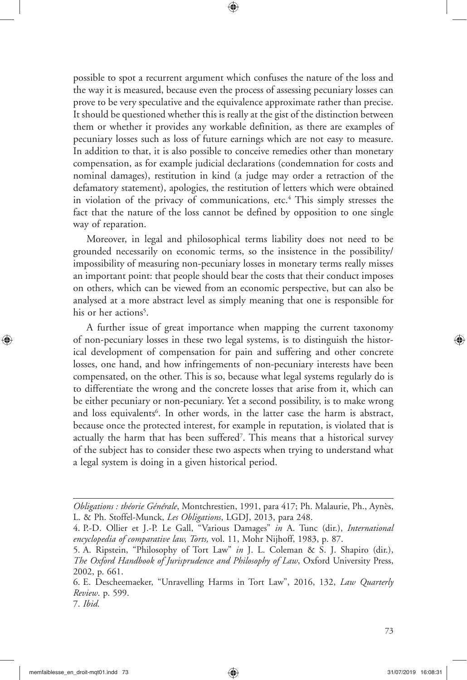possible to spot a recurrent argument which confuses the nature of the loss and the way it is measured, because even the process of assessing pecuniary losses can prove to be very speculative and the equivalence approximate rather than precise. It should be questioned whether this is really at the gist of the distinction between them or whether it provides any workable definition, as there are examples of pecuniary losses such as loss of future earnings which are not easy to measure. In addition to that, it is also possible to conceive remedies other than monetary compensation, as for example judicial declarations (condemnation for costs and nominal damages), restitution in kind (a judge may order a retraction of the defamatory statement), apologies, the restitution of letters which were obtained in violation of the privacy of communications, etc.<sup>4</sup> This simply stresses the fact that the nature of the loss cannot be defined by opposition to one single way of reparation.

⊕

Moreover, in legal and philosophical terms liability does not need to be grounded necessarily on economic terms, so the insistence in the possibility/ impossibility of measuring non-pecuniary losses in monetary terms really misses an important point: that people should bear the costs that their conduct imposes on others, which can be viewed from an economic perspective, but can also be analysed at a more abstract level as simply meaning that one is responsible for his or her actions<sup>5</sup>.

A further issue of great importance when mapping the current taxonomy of non-pecuniary losses in these two legal systems, is to distinguish the historical development of compensation for pain and suffering and other concrete losses, one hand, and how infringements of non-pecuniary interests have been compensated, on the other. This is so, because what legal systems regularly do is to differentiate the wrong and the concrete losses that arise from it, which can be either pecuniary or non-pecuniary. Yet a second possibility, is to make wrong and loss equivalents<sup>6</sup>. In other words, in the latter case the harm is abstract, because once the protected interest, for example in reputation, is violated that is actually the harm that has been suffered7 . This means that a historical survey of the subject has to consider these two aspects when trying to understand what a legal system is doing in a given historical period.

7. *Ibid.*

◈

*Obligations : théorie Générale*, Montchrestien, 1991, para 417; Ph. Malaurie, Ph., Aynès, L. & Ph. Stoffel-Munck, *Les Obligations*, LGDJ, 2013, para 248.

<sup>4.</sup> P.-D. Ollier et J.-P. Le Gall, "Various Damages" *in* A. Tunc (dir.), *International encyclopedia of comparative law, Torts,* vol. 11, Mohr Nijhoff, 1983, p. 87.

<sup>5.</sup> A. Ripstein, "Philosophy of Tort Law" *in* J. L. Coleman & S. J. Shapiro (dir.), *The Oxford Handbook of Jurisprudence and Philosophy of Law*, Oxford University Press, 2002, p. 661.

<sup>6.</sup> E. Descheemaeker, "Unravelling Harms in Tort Law", 2016, 132, *Law Quarterly Review*. p. 599.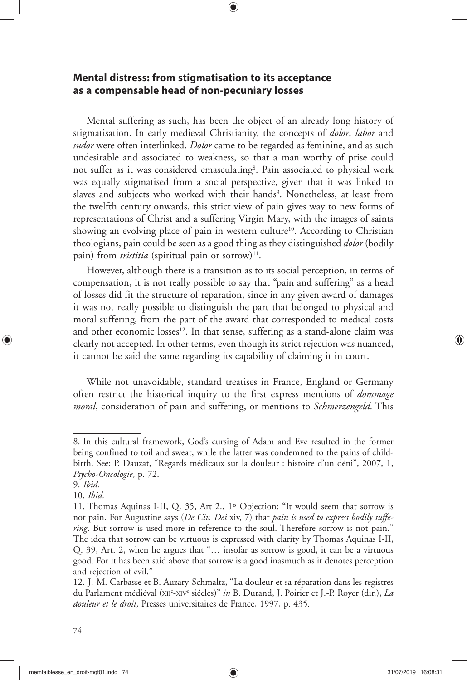# **Mental distress: from stigmatisation to its acceptance as a compensable head of non-pecuniary losses**

Mental suffering as such, has been the object of an already long history of stigmatisation. In early medieval Christianity, the concepts of *dolor*, *labor* and *sudor* were often interlinked. *Dolor* came to be regarded as feminine, and as such undesirable and associated to weakness, so that a man worthy of prise could not suffer as it was considered emasculating<sup>8</sup>. Pain associated to physical work was equally stigmatised from a social perspective, given that it was linked to slaves and subjects who worked with their hands<sup>9</sup>. Nonetheless, at least from the twelfth century onwards, this strict view of pain gives way to new forms of representations of Christ and a suffering Virgin Mary, with the images of saints showing an evolving place of pain in western culture<sup>10</sup>. According to Christian theologians, pain could be seen as a good thing as they distinguished *dolor* (bodily pain) from *tristitia* (spiritual pain or sorrow)<sup>11</sup>.

⊕

However, although there is a transition as to its social perception, in terms of compensation, it is not really possible to say that "pain and suffering" as a head of losses did fit the structure of reparation, since in any given award of damages it was not really possible to distinguish the part that belonged to physical and moral suffering, from the part of the award that corresponded to medical costs and other economic losses $12$ . In that sense, suffering as a stand-alone claim was clearly not accepted. In other terms, even though its strict rejection was nuanced, it cannot be said the same regarding its capability of claiming it in court.

While not unavoidable, standard treatises in France, England or Germany often restrict the historical inquiry to the first express mentions of *dommage moral*, consideration of pain and suffering, or mentions to *Schmerzengeld*. This

◈

<sup>8.</sup> In this cultural framework, God's cursing of Adam and Eve resulted in the former being confined to toil and sweat, while the latter was condemned to the pains of childbirth. See: P. Dauzat, "Regards médicaux sur la douleur : histoire d'un déni", 2007, 1, *Psycho-Oncologie*, p. 72.

<sup>9.</sup> *Ibid.*

<sup>10.</sup> *Ibid.*

<sup>11.</sup> Thomas Aquinas I-II, Q. 35, Art 2., 1º Objection: "It would seem that sorrow is not pain. For Augustine says (*De Civ. Dei* xiv, 7) that *pain is used to express bodily suffering*. But sorrow is used more in reference to the soul. Therefore sorrow is not pain." The idea that sorrow can be virtuous is expressed with clarity by Thomas Aquinas I-II, Q. 39, Art. 2, when he argues that "… insofar as sorrow is good, it can be a virtuous good. For it has been said above that sorrow is a good inasmuch as it denotes perception and rejection of evil."

<sup>12.</sup> J.-M. Carbasse et B. Auzary-Schmaltz, "La douleur et sa réparation dans les registres du Parlament médiéval (x11<sup>e</sup>-x1v<sup>e</sup> siécles)" *in* B. Durand, J. Poirier et J.-P. Royer (dir.), *La douleur et le droit*, Presses universitaires de France, 1997, p. 435.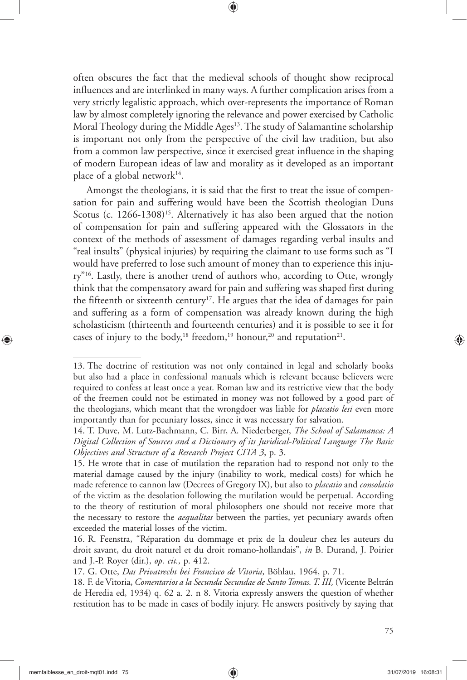often obscures the fact that the medieval schools of thought show reciprocal influences and are interlinked in many ways. A further complication arises from a very strictly legalistic approach, which over-represents the importance of Roman law by almost completely ignoring the relevance and power exercised by Catholic Moral Theology during the Middle Ages<sup>13</sup>. The study of Salamantine scholarship is important not only from the perspective of the civil law tradition, but also from a common law perspective, since it exercised great influence in the shaping of modern European ideas of law and morality as it developed as an important place of a global network<sup>14</sup>.

⊕

Amongst the theologians, it is said that the first to treat the issue of compensation for pain and suffering would have been the Scottish theologian Duns Scotus (c. 1266-1308)<sup>15</sup>. Alternatively it has also been argued that the notion of compensation for pain and suffering appeared with the Glossators in the context of the methods of assessment of damages regarding verbal insults and "real insults" (physical injuries) by requiring the claimant to use forms such as "I would have preferred to lose such amount of money than to experience this injury"<sup>16</sup>. Lastly, there is another trend of authors who, according to Otte, wrongly think that the compensatory award for pain and suffering was shaped first during the fifteenth or sixteenth century<sup>17</sup>. He argues that the idea of damages for pain and suffering as a form of compensation was already known during the high scholasticism (thirteenth and fourteenth centuries) and it is possible to see it for cases of injury to the body,<sup>18</sup> freedom,<sup>19</sup> honour,<sup>20</sup> and reputation<sup>21</sup>.

<sup>13.</sup> The doctrine of restitution was not only contained in legal and scholarly books but also had a place in confessional manuals which is relevant because believers were required to confess at least once a year. Roman law and its restrictive view that the body of the freemen could not be estimated in money was not followed by a good part of the theologians, which meant that the wrongdoer was liable for *placatio lesi* even more importantly than for pecuniary losses, since it was necessary for salvation.

<sup>14.</sup> T. Duve, M. Lutz-Bachmann, C. Birr, A. Niederberger, *The School of Salamanca: A Digital Collection of Sources and a Dictionary of its Juridical-Political Language The Basic Objectives and Structure of a Research Project CITA 3*, p. 3.

<sup>15.</sup> He wrote that in case of mutilation the reparation had to respond not only to the material damage caused by the injury (inability to work, medical costs) for which he made reference to cannon law (Decrees of Gregory IX), but also to *placatio* and *consolatio* of the victim as the desolation following the mutilation would be perpetual. According to the theory of restitution of moral philosophers one should not receive more that the necessary to restore the *aequalitas* between the parties, yet pecuniary awards often exceeded the material losses of the victim.

<sup>16.</sup> R. Feenstra, "Réparation du dommage et prix de la douleur chez les auteurs du droit savant, du droit naturel et du droit romano-hollandais", *in* B. Durand, J. Poirier and J.-P. Royer (dir.), *op. cit.,* p. 412.

<sup>17.</sup> G. Otte, *Das Privatrecht bei Francisco de Vitoria*, Böhlau, 1964, p. 71.

<sup>18.</sup> F. de Vitoria, *Comentarios a la Secunda Secundae de Santo Tomas. T. III,* (Vicente Beltrán de Heredia ed, 1934) q. 62 a. 2. n 8. Vitoria expressly answers the question of whether restitution has to be made in cases of bodily injury. He answers positively by saying that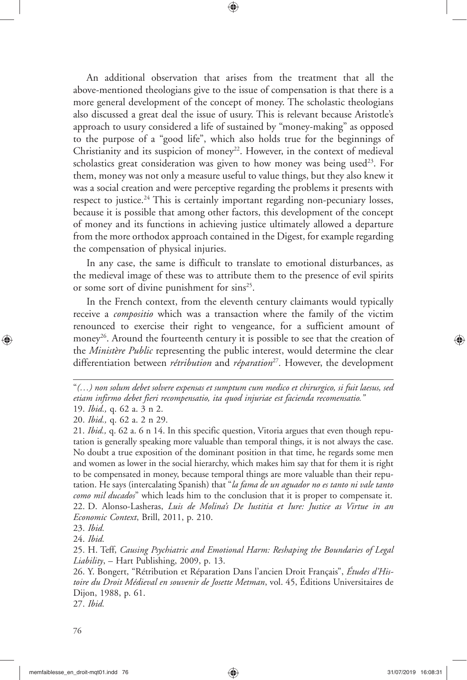An additional observation that arises from the treatment that all the above-mentioned theologians give to the issue of compensation is that there is a more general development of the concept of money. The scholastic theologians also discussed a great deal the issue of usury. This is relevant because Aristotle's approach to usury considered a life of sustained by "money-making" as opposed to the purpose of a "good life", which also holds true for the beginnings of Christianity and its suspicion of money<sup>22</sup>. However, in the context of medieval scholastics great consideration was given to how money was being used<sup>23</sup>. For them, money was not only a measure useful to value things, but they also knew it was a social creation and were perceptive regarding the problems it presents with respect to justice.<sup>24</sup> This is certainly important regarding non-pecuniary losses, because it is possible that among other factors, this development of the concept of money and its functions in achieving justice ultimately allowed a departure from the more orthodox approach contained in the Digest, for example regarding the compensation of physical injuries.

⊕

In any case, the same is difficult to translate to emotional disturbances, as the medieval image of these was to attribute them to the presence of evil spirits or some sort of divine punishment for sins<sup>25</sup>.

In the French context, from the eleventh century claimants would typically receive a *compositio* which was a transaction where the family of the victim renounced to exercise their right to vengeance, for a sufficient amount of money<sup>26</sup>. Around the fourteenth century it is possible to see that the creation of the *Ministère Public* representing the public interest, would determine the clear differentiation between *rétribution* and *réparation*<sup>27</sup>. However, the development

◈

<sup>&</sup>quot;*(…) non solum debet solvere expensas et sumptum cum medico et chirurgico, si fuit laesus, sed etiam infirmo debet fieri recompensatio, ita quod injuriae est facienda recomensatio."* 19. *Ibid.,* q. 62 a. 3 n 2.

<sup>20.</sup> *Ibid.,* q. 62 a. 2 n 29.

<sup>21.</sup> *Ibid.,* q. 62 a. 6 n 14. In this specific question, Vitoria argues that even though reputation is generally speaking more valuable than temporal things, it is not always the case. No doubt a true exposition of the dominant position in that time, he regards some men and women as lower in the social hierarchy, which makes him say that for them it is right to be compensated in money, because temporal things are more valuable than their reputation. He says (intercalating Spanish) that "*la fama de un aguador no es tanto ni vale tanto como mil ducados*" which leads him to the conclusion that it is proper to compensate it. 22. D. Alonso-Lasheras, *Luis de Molina's De Iustitia et Iure: Justice as Virtue in an Economic Context*, Brill, 2011, p. 210.

<sup>23.</sup> *Ibid.*

<sup>24.</sup> *Ibid.*

<sup>25.</sup> H. Teff, *Causing Psychiatric and Emotional Harm: Reshaping the Boundaries of Legal Liability*, – Hart Publishing, 2009, p. 13.

<sup>26.</sup> Y. Bongert, "Rétribution et Réparation Dans l'ancien Droit Français", *Études d'Histoire du Droit Médieval en souvenir de Josette Metman*, vol. 45, Éditions Universitaires de Dijon, 1988, p. 61.

<sup>27.</sup> *Ibid.*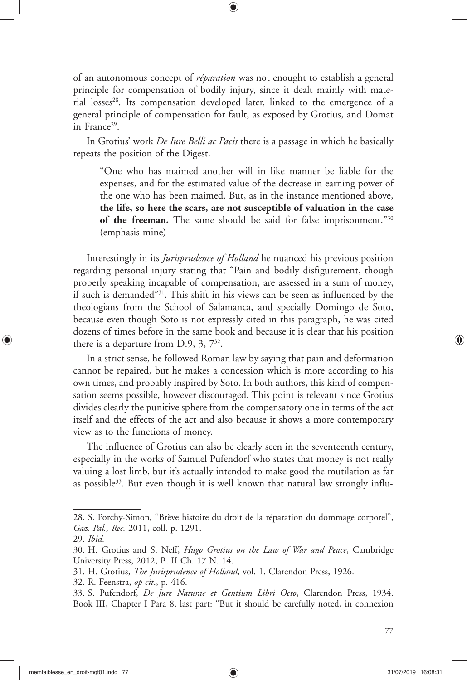of an autonomous concept of *réparation* was not enought to establish a general principle for compensation of bodily injury, since it dealt mainly with material losses<sup>28</sup>. Its compensation developed later, linked to the emergence of a general principle of compensation for fault, as exposed by Grotius, and Domat in France<sup>29</sup>.

⊕

In Grotius' work *De Iure Belli ac Pacis* there is a passage in which he basically repeats the position of the Digest.

"One who has maimed another will in like manner be liable for the expenses, and for the estimated value of the decrease in earning power of the one who has been maimed. But, as in the instance mentioned above, **the life, so here the scars, are not susceptible of valuation in the case**  of the freeman. The same should be said for false imprisonment."<sup>30</sup> (emphasis mine)

Interestingly in its *Jurisprudence of Holland* he nuanced his previous position regarding personal injury stating that "Pain and bodily disfigurement, though properly speaking incapable of compensation, are assessed in a sum of money, if such is demanded"31. This shift in his views can be seen as influenced by the theologians from the School of Salamanca, and specially Domingo de Soto, because even though Soto is not expressly cited in this paragraph, he was cited dozens of times before in the same book and because it is clear that his position there is a departure from D.9,  $3, 7^{32}$ .

In a strict sense, he followed Roman law by saying that pain and deformation cannot be repaired, but he makes a concession which is more according to his own times, and probably inspired by Soto. In both authors, this kind of compensation seems possible, however discouraged. This point is relevant since Grotius divides clearly the punitive sphere from the compensatory one in terms of the act itself and the effects of the act and also because it shows a more contemporary view as to the functions of money.

The influence of Grotius can also be clearly seen in the seventeenth century, especially in the works of Samuel Pufendorf who states that money is not really valuing a lost limb, but it's actually intended to make good the mutilation as far as possible<sup>33</sup>. But even though it is well known that natural law strongly influ-

◈

<sup>28.</sup> S. Porchy-Simon, "Brève histoire du droit de la réparation du dommage corporel", *Gaz. Pal., Rec.* 2011, coll. p. 1291.

<sup>29.</sup> *Ibid.*

<sup>30.</sup> H. Grotius and S. Neff, *Hugo Grotius on the Law of War and Peace*, Cambridge University Press, 2012, B. II Ch. 17 N. 14.

<sup>31.</sup> H. Grotius, *The Jurisprudence of Holland*, vol. 1, Clarendon Press, 1926.

<sup>32.</sup> R. Feenstra, *op cit*., p. 416.

<sup>33.</sup> S. Pufendorf, *De Jure Naturae et Gentium Libri Octo*, Clarendon Press, 1934. Book III, Chapter I Para 8, last part: "But it should be carefully noted, in connexion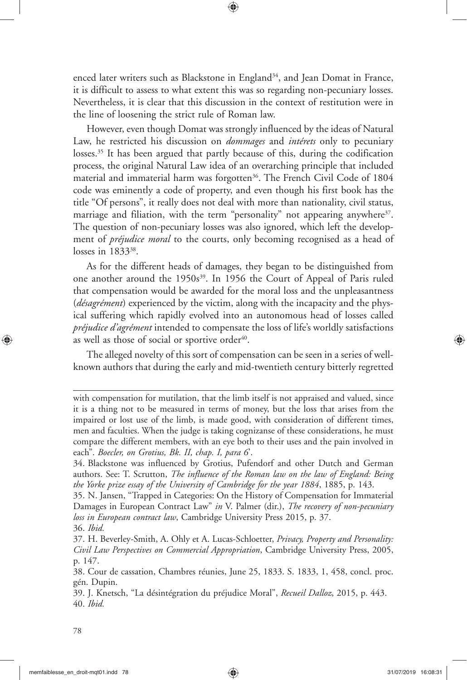enced later writers such as Blackstone in England<sup>34</sup>, and Jean Domat in France, it is difficult to assess to what extent this was so regarding non-pecuniary losses. Nevertheless, it is clear that this discussion in the context of restitution were in the line of loosening the strict rule of Roman law.

⊕

However, even though Domat was strongly influenced by the ideas of Natural Law, he restricted his discussion on *dommages* and *intérets* only to pecuniary losses.<sup>35</sup> It has been argued that partly because of this, during the codification process, the original Natural Law idea of an overarching principle that included material and immaterial harm was forgotten<sup>36</sup>. The French Civil Code of 1804 code was eminently a code of property, and even though his first book has the title "Of persons", it really does not deal with more than nationality, civil status, marriage and filiation, with the term "personality" not appearing anywhere<sup>37</sup>. The question of non-pecuniary losses was also ignored, which left the development of *préjudice moral* to the courts, only becoming recognised as a head of losses in  $1833^{38}$ .

As for the different heads of damages, they began to be distinguished from one another around the 1950s<sup>39</sup>. In 1956 the Court of Appeal of Paris ruled that compensation would be awarded for the moral loss and the unpleasantness (*désagrément*) experienced by the victim, along with the incapacity and the physical suffering which rapidly evolved into an autonomous head of losses called *préjudice d'agrément* intended to compensate the loss of life's worldly satisfactions as well as those of social or sportive order $40$ .

The alleged novelty of this sort of compensation can be seen in a series of wellknown authors that during the early and mid-twentieth century bitterly regretted

◈

with compensation for mutilation, that the limb itself is not appraised and valued, since it is a thing not to be measured in terms of money, but the loss that arises from the impaired or lost use of the limb, is made good, with consideration of different times, men and faculties. When the judge is taking cognizanse of these considerations, he must compare the different members, with an eye both to their uses and the pain involved in each". *Boecler, on Grotius, Bk. II, chap. I, para 6*'.

<sup>34.</sup> Blackstone was influenced by Grotius, Pufendorf and other Dutch and German authors. See: T. Scrutton, *The influence of the Roman law on the law of England: Being the Yorke prize essay of the University of Cambridge for the year 1884*, 1885, p. 143.

<sup>35.</sup> N. Jansen, "Trapped in Categories: On the History of Compensation for Immaterial Damages in European Contract Law" *in* V. Palmer (dir.), *The recovery of non-pecuniary loss in European contract law*, Cambridge University Press 2015, p. 37. 36. *Ibid.*

<sup>37.</sup> H. Beverley-Smith, A. Ohly et A. Lucas-Schloetter, *Privacy, Property and Personality: Civil Law Perspectives on Commercial Appropriation*, Cambridge University Press, 2005, p. 147.

<sup>38.</sup> Cour de cassation, Chambres réunies, June 25, 1833. S. 1833, 1, 458, concl. proc. gén. Dupin.

<sup>39.</sup> J. Knetsch, "La désintégration du préjudice Moral", *Recueil Dalloz*, 2015, p. 443. 40. *Ibid.*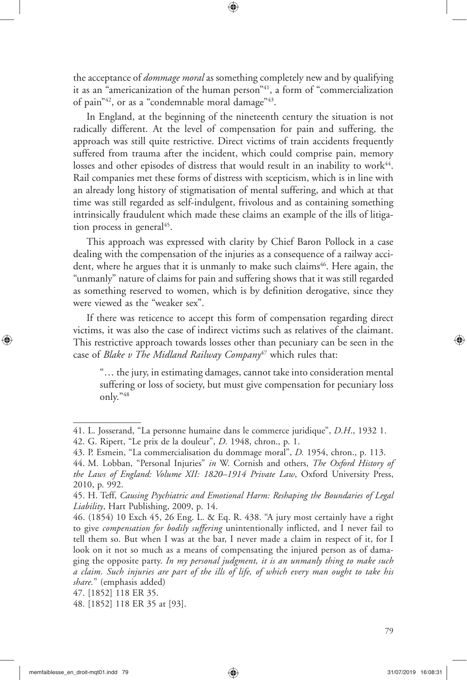the acceptance of *dommage moral* as something completely new and by qualifying it as an "americanization of the human person"41, a form of "commercialization of pain<sup>"42</sup>, or as a "condemnable moral damage"<sup>43</sup>.

⊕

In England, at the beginning of the nineteenth century the situation is not radically different. At the level of compensation for pain and suffering, the approach was still quite restrictive. Direct victims of train accidents frequently suffered from trauma after the incident, which could comprise pain, memory losses and other episodes of distress that would result in an inability to work $44$ . Rail companies met these forms of distress with scepticism, which is in line with an already long history of stigmatisation of mental suffering, and which at that time was still regarded as self-indulgent, frivolous and as containing something intrinsically fraudulent which made these claims an example of the ills of litigation process in general $45$ .

This approach was expressed with clarity by Chief Baron Pollock in a case dealing with the compensation of the injuries as a consequence of a railway accident, where he argues that it is unmanly to make such claims<sup>46</sup>. Here again, the "unmanly" nature of claims for pain and suffering shows that it was still regarded as something reserved to women, which is by definition derogative, since they were viewed as the "weaker sex".

If there was reticence to accept this form of compensation regarding direct victims, it was also the case of indirect victims such as relatives of the claimant. This restrictive approach towards losses other than pecuniary can be seen in the case of *Blake v The Midland Railway Company*47 which rules that:

"… the jury, in estimating damages, cannot take into consideration mental suffering or loss of society, but must give compensation for pecuniary loss only."48

◈

<sup>41.</sup> L. Josserand, "La personne humaine dans le commerce juridique", *D.H*., 1932 1.

<sup>42.</sup> G. Ripert, "Le prix de la douleur", *D.* 1948, chron., p. 1.

<sup>43.</sup> P. Esmein, "La commercialisation du dommage moral", *D.* 1954, chron., p. 113.

<sup>44.</sup> M. Lobban, "Personal Injuries" *in* W. Cornish and others, *The Oxford History of the Laws of England: Volume XII: 1820–1914 Private Law*, Oxford University Press, 2010, p. 992.

<sup>45.</sup> H. Teff, *Causing Psychiatric and Emotional Harm: Reshaping the Boundaries of Legal Liability*, Hart Publishing, 2009, p. 14.

<sup>46. (1854) 10</sup> Exch 45, 26 Eng. L. & Eq. R. 438. "A jury most certainly have a right to give *compensation for bodily suffering* unintentionally inflicted, and I never fail to tell them so. But when I was at the bar, I never made a claim in respect of it, for I look on it not so much as a means of compensating the injured person as of damaging the opposite party. *In my personal judgment, it is an unmanly thing to make such a claim. Such injuries are part of the ills of life, of which every man ought to take his share.*" (emphasis added)

<sup>47. [1852] 118</sup> ER 35.

<sup>48. [1852] 118</sup> ER 35 at [93].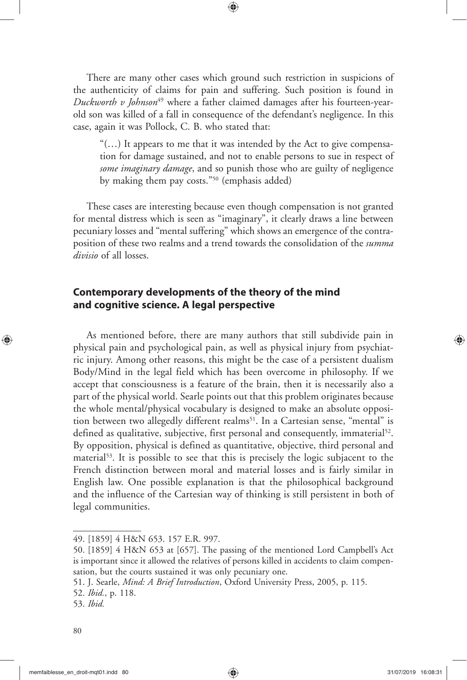There are many other cases which ground such restriction in suspicions of the authenticity of claims for pain and suffering. Such position is found in *Duckworth v Johnson*<sup>49</sup> where a father claimed damages after his fourteen-yearold son was killed of a fall in consequence of the defendant's negligence. In this case, again it was Pollock, C. B. who stated that:

⊕

"(…) It appears to me that it was intended by the Act to give compensation for damage sustained, and not to enable persons to sue in respect of *some imaginary damage*, and so punish those who are guilty of negligence by making them pay costs."50 (emphasis added)

These cases are interesting because even though compensation is not granted for mental distress which is seen as "imaginary", it clearly draws a line between pecuniary losses and "mental suffering" which shows an emergence of the contraposition of these two realms and a trend towards the consolidation of the *summa divisio* of all losses.

# **Contemporary developments of the theory of the mind and cognitive science. A legal perspective**

As mentioned before, there are many authors that still subdivide pain in physical pain and psychological pain, as well as physical injury from psychiatric injury. Among other reasons, this might be the case of a persistent dualism Body/Mind in the legal field which has been overcome in philosophy. If we accept that consciousness is a feature of the brain, then it is necessarily also a part of the physical world. Searle points out that this problem originates because the whole mental/physical vocabulary is designed to make an absolute opposition between two allegedly different realms<sup>51</sup>. In a Cartesian sense, "mental" is defined as qualitative, subjective, first personal and consequently, immaterial<sup>52</sup>. By opposition, physical is defined as quantitative, objective, third personal and material<sup>53</sup>. It is possible to see that this is precisely the logic subjacent to the French distinction between moral and material losses and is fairly similar in English law. One possible explanation is that the philosophical background and the influence of the Cartesian way of thinking is still persistent in both of legal communities.

◈

<sup>49. [1859] 4</sup> H&N 653. 157 E.R. 997.

<sup>50. [1859] 4</sup> H&N 653 at [657]. The passing of the mentioned Lord Campbell's Act is important since it allowed the relatives of persons killed in accidents to claim compensation, but the courts sustained it was only pecuniary one.

<sup>51.</sup> J. Searle, *Mind: A Brief Introduction*, Oxford University Press, 2005, p. 115.

<sup>52.</sup> *Ibid.*, p. 118.

<sup>53.</sup> *Ibid.*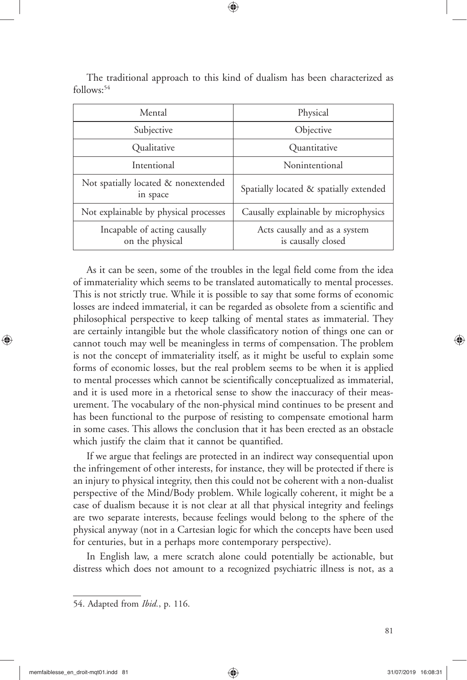| Mental                                          | Physical                                            |
|-------------------------------------------------|-----------------------------------------------------|
| Subjective                                      | Objective                                           |
| Qualitative                                     | Quantitative                                        |
| Intentional                                     | Nonintentional                                      |
| Not spatially located & nonextended<br>in space | Spatially located & spatially extended              |
| Not explainable by physical processes           | Causally explainable by microphysics                |
| Incapable of acting causally<br>on the physical | Acts causally and as a system<br>is causally closed |

The traditional approach to this kind of dualism has been characterized as follows:54

⊕

As it can be seen, some of the troubles in the legal field come from the idea of immateriality which seems to be translated automatically to mental processes. This is not strictly true. While it is possible to say that some forms of economic losses are indeed immaterial, it can be regarded as obsolete from a scientific and philosophical perspective to keep talking of mental states as immaterial. They are certainly intangible but the whole classificatory notion of things one can or cannot touch may well be meaningless in terms of compensation. The problem is not the concept of immateriality itself, as it might be useful to explain some forms of economic losses, but the real problem seems to be when it is applied to mental processes which cannot be scientifically conceptualized as immaterial, and it is used more in a rhetorical sense to show the inaccuracy of their measurement. The vocabulary of the non-physical mind continues to be present and has been functional to the purpose of resisting to compensate emotional harm in some cases. This allows the conclusion that it has been erected as an obstacle which justify the claim that it cannot be quantified.

If we argue that feelings are protected in an indirect way consequential upon the infringement of other interests, for instance, they will be protected if there is an injury to physical integrity, then this could not be coherent with a non-dualist perspective of the Mind/Body problem. While logically coherent, it might be a case of dualism because it is not clear at all that physical integrity and feelings are two separate interests, because feelings would belong to the sphere of the physical anyway (not in a Cartesian logic for which the concepts have been used for centuries, but in a perhaps more contemporary perspective).

In English law, a mere scratch alone could potentially be actionable, but distress which does not amount to a recognized psychiatric illness is not, as a

<sup>54.</sup> Adapted from *Ibid.*, p. 116.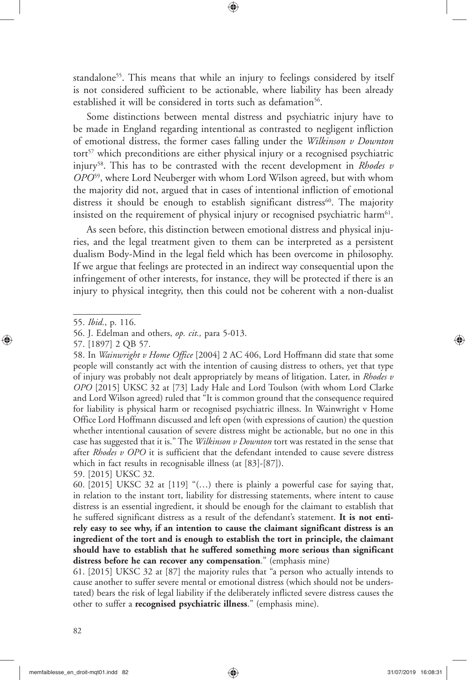standalone<sup>55</sup>. This means that while an injury to feelings considered by itself is not considered sufficient to be actionable, where liability has been already established it will be considered in torts such as defamation<sup>56</sup>.

⊕

Some distinctions between mental distress and psychiatric injury have to be made in England regarding intentional as contrasted to negligent infliction of emotional distress, the former cases falling under the *Wilkinson v Downton* tort<sup>57</sup> which preconditions are either physical injury or a recognised psychiatric injury58. This has to be contrasted with the recent development in *Rhodes v OPO*59, where Lord Neuberger with whom Lord Wilson agreed, but with whom the majority did not, argued that in cases of intentional infliction of emotional distress it should be enough to establish significant distress<sup>60</sup>. The majority insisted on the requirement of physical injury or recognised psychiatric harm<sup>61</sup>.

As seen before, this distinction between emotional distress and physical injuries, and the legal treatment given to them can be interpreted as a persistent dualism Body-Mind in the legal field which has been overcome in philosophy. If we argue that feelings are protected in an indirect way consequential upon the infringement of other interests, for instance, they will be protected if there is an injury to physical integrity, then this could not be coherent with a non-dualist

◈

58. In *Wainwright v Home Office* [2004] 2 AC 406, Lord Hoffmann did state that some people will constantly act with the intention of causing distress to others, yet that type of injury was probably not dealt appropriately by means of litigation. Later, in *Rhodes v OPO* [2015] UKSC 32 at [73] Lady Hale and Lord Toulson (with whom Lord Clarke and Lord Wilson agreed) ruled that "It is common ground that the consequence required for liability is physical harm or recognised psychiatric illness. In Wainwright v Home Office Lord Hoffmann discussed and left open (with expressions of caution) the question whether intentional causation of severe distress might be actionable, but no one in this case has suggested that it is." The *Wilkinson v Downton* tort was restated in the sense that after *Rhodes v OPO* it is sufficient that the defendant intended to cause severe distress which in fact results in recognisable illness (at [83]-[87]).

59. [2015] UKSC 32.

60. [2015] UKSC 32 at [119] "(…) there is plainly a powerful case for saying that, in relation to the instant tort, liability for distressing statements, where intent to cause distress is an essential ingredient, it should be enough for the claimant to establish that he suffered significant distress as a result of the defendant's statement. **It is not entirely easy to see why, if an intention to cause the claimant significant distress is an ingredient of the tort and is enough to establish the tort in principle, the claimant should have to establish that he suffered something more serious than significant distress before he can recover any compensation**." (emphasis mine)

61. [2015] UKSC 32 at [87] the majority rules that "a person who actually intends to cause another to suffer severe mental or emotional distress (which should not be understated) bears the risk of legal liability if the deliberately inflicted severe distress causes the other to suffer a **recognised psychiatric illness**." (emphasis mine).

<sup>55.</sup> *Ibid.*, p. 116.

<sup>56.</sup> J. Edelman and others, *op. cit.,* para 5-013.

<sup>57. [1897] 2</sup> QB 57.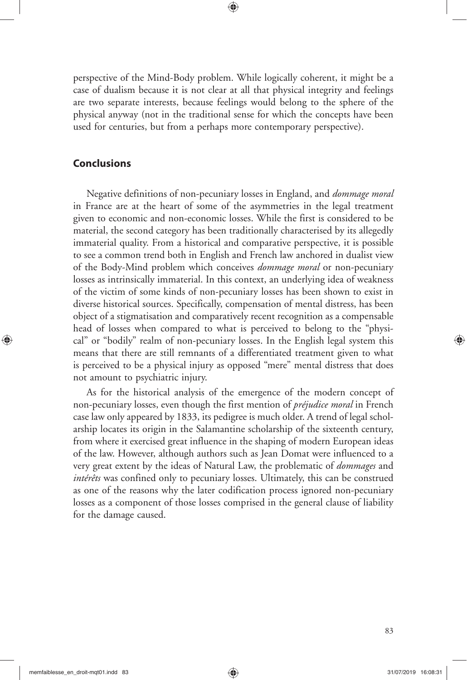perspective of the Mind-Body problem. While logically coherent, it might be a case of dualism because it is not clear at all that physical integrity and feelings are two separate interests, because feelings would belong to the sphere of the physical anyway (not in the traditional sense for which the concepts have been used for centuries, but from a perhaps more contemporary perspective).

⊕

### **Conclusions**

◈

Negative definitions of non-pecuniary losses in England, and *dommage moral* in France are at the heart of some of the asymmetries in the legal treatment given to economic and non-economic losses. While the first is considered to be material, the second category has been traditionally characterised by its allegedly immaterial quality. From a historical and comparative perspective, it is possible to see a common trend both in English and French law anchored in dualist view of the Body-Mind problem which conceives *dommage moral* or non-pecuniary losses as intrinsically immaterial. In this context, an underlying idea of weakness of the victim of some kinds of non-pecuniary losses has been shown to exist in diverse historical sources. Specifically, compensation of mental distress, has been object of a stigmatisation and comparatively recent recognition as a compensable head of losses when compared to what is perceived to belong to the "physical" or "bodily" realm of non-pecuniary losses. In the English legal system this means that there are still remnants of a differentiated treatment given to what is perceived to be a physical injury as opposed "mere" mental distress that does not amount to psychiatric injury.

As for the historical analysis of the emergence of the modern concept of non-pecuniary losses, even though the first mention of *préjudice moral* in French case law only appeared by 1833, its pedigree is much older. A trend of legal scholarship locates its origin in the Salamantine scholarship of the sixteenth century, from where it exercised great influence in the shaping of modern European ideas of the law. However, although authors such as Jean Domat were influenced to a very great extent by the ideas of Natural Law, the problematic of *dommages* and *intérêts* was confined only to pecuniary losses. Ultimately, this can be construed as one of the reasons why the later codification process ignored non-pecuniary losses as a component of those losses comprised in the general clause of liability for the damage caused.